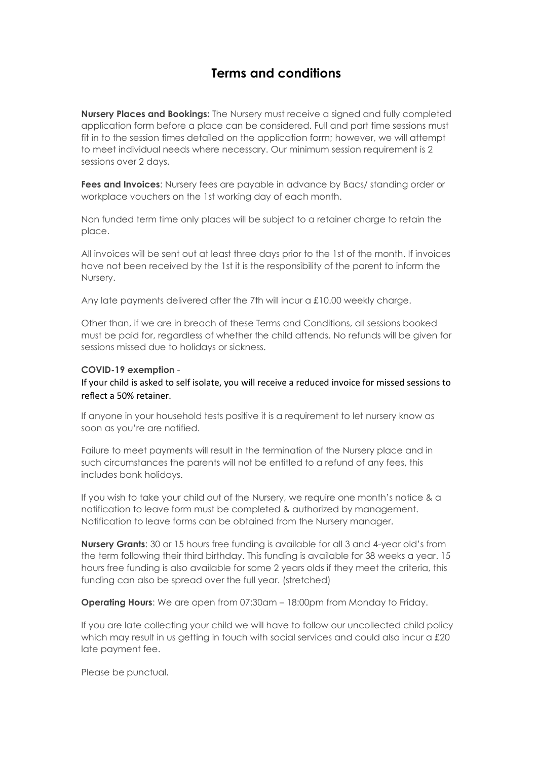## **Terms and conditions**

**Nursery Places and Bookings:** The Nursery must receive a signed and fully completed application form before a place can be considered. Full and part time sessions must fit in to the session times detailed on the application form; however, we will attempt to meet individual needs where necessary. Our minimum session requirement is 2 sessions over 2 days.

**Fees and Invoices**: Nursery fees are payable in advance by Bacs/ standing order or workplace vouchers on the 1st working day of each month.

Non funded term time only places will be subject to a retainer charge to retain the place.

All invoices will be sent out at least three days prior to the 1st of the month. If invoices have not been received by the 1st it is the responsibility of the parent to inform the Nursery.

Any late payments delivered after the 7th will incur a £10.00 weekly charge.

Other than, if we are in breach of these Terms and Conditions, all sessions booked must be paid for, regardless of whether the child attends. No refunds will be given for sessions missed due to holidays or sickness.

## **COVID-19 exemption** -

If your child is asked to self isolate, you will receive a reduced invoice for missed sessions to reflect a 50% retainer.

If anyone in your household tests positive it is a requirement to let nursery know as soon as you're are notified.

Failure to meet payments will result in the termination of the Nursery place and in such circumstances the parents will not be entitled to a refund of any fees, this includes bank holidays.

If you wish to take your child out of the Nursery, we require one month's notice & a notification to leave form must be completed & authorized by management. Notification to leave forms can be obtained from the Nursery manager.

**Nursery Grants**: 30 or 15 hours free funding is available for all 3 and 4-year old's from the term following their third birthday. This funding is available for 38 weeks a year. 15 hours free funding is also available for some 2 years olds if they meet the criteria, this funding can also be spread over the full year. (stretched)

**Operating Hours:** We are open from 07:30am – 18:00pm from Monday to Friday.

If you are late collecting your child we will have to follow our uncollected child policy which may result in us getting in touch with social services and could also incur a £20 late payment fee.

Please be punctual.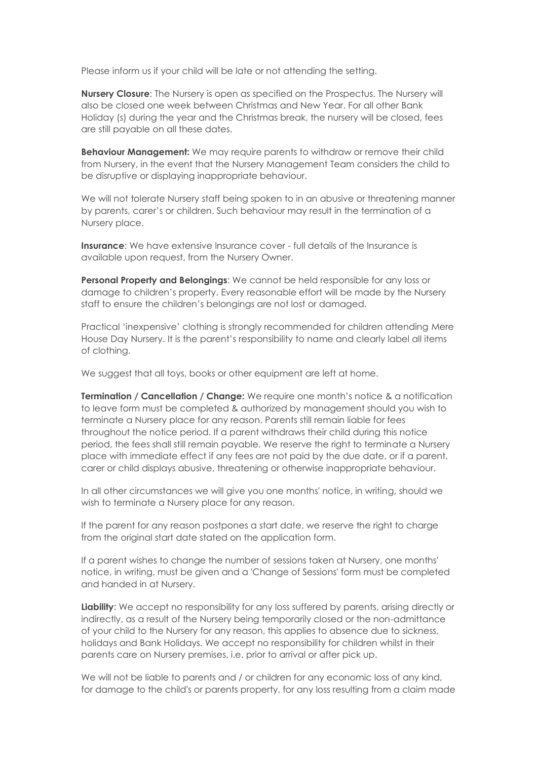Please inform us if your child will be late or not attending the setting.

**Nursery Closure**: The Nursery is open as specified on the Prospectus. The Nursery will also be closed one week between Christmas and New Year. For all other Bank Holiday (s) during the year and the Christmas break, the nursery will be closed, fees are still payable on all these dates.

**Behaviour Management:** We may require parents to withdraw or remove their child from Nursery, in the event that the Nursery Management Team considers the child to be disruptive or displaying inappropriate behaviour.

We will not tolerate Nursery staff being spoken to in an abusive or threatening manner by parents, carer's or children. Such behaviour may result in the termination of a Nursery place.

**Insurance**: We have extensive Insurance cover - full details of the Insurance is available upon request, from the Nursery Owner.

**Personal Property and Belongings**: We cannot be held responsible for any loss or damage to children's property. Every reasonable effort will be made by the Nursery staff to ensure the children's belongings are not lost or damaged.

Practical 'inexpensive' clothing is strongly recommended for children attending Mere House Day Nursery. It is the parent's responsibility to name and clearly label all items of clothing.

We suggest that all toys, books or other equipment are left at home.

**Termination / Cancellation / Change:** We require one month's notice & a notification to leave form must be completed & authorized by management should you wish to terminate a Nursery place for any reason. Parents still remain liable for fees throughout the notice period. If a parent withdraws their child during this notice period, the fees shall still remain payable. We reserve the right to terminate a Nursery place with immediate effect if any fees are not paid by the due date, or if a parent, carer or child displays abusive, threatening or otherwise inappropriate behaviour.

In all other circumstances we will give you one months' notice, in writing, should we wish to terminate a Nursery place for any reason.

If the parent for any reason postpones a start date, we reserve the right to charge from the original start date stated on the application form.

If a parent wishes to change the number of sessions taken at Nursery, one months' notice, in writing, must be given and a 'Change of Sessions' form must be completed and handed in at Nursery.

**Liability**: We accept no responsibility for any loss suffered by parents, arising directly or indirectly, as a result of the Nursery being temporarily closed or the non-admittance of your child to the Nursery for any reason, this applies to absence due to sickness, holidays and Bank Holidays. We accept no responsibility for children whilst in their parents care on Nursery premises, i.e. prior to arrival or after pick up.

We will not be liable to parents and / or children for any economic loss of any kind, for damage to the child's or parents property, for any loss resulting from a claim made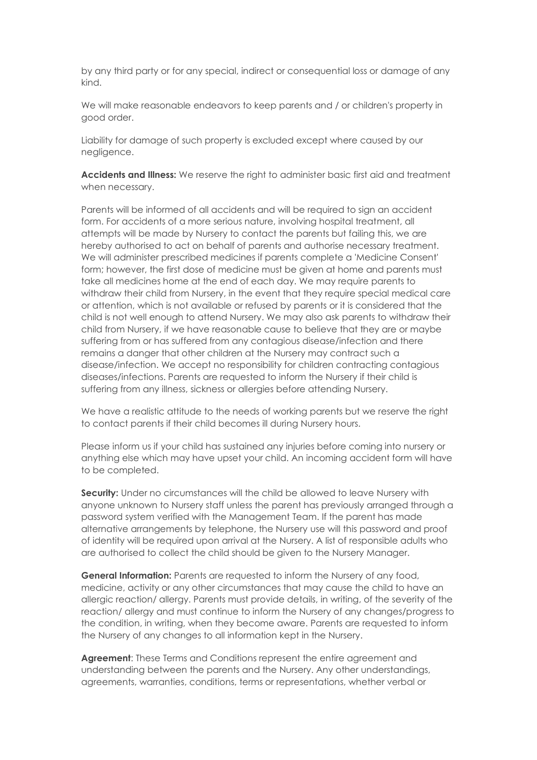by any third party or for any special, indirect or consequential loss or damage of any kind.

We will make reasonable endeavors to keep parents and / or children's property in good order.

Liability for damage of such property is excluded except where caused by our negligence.

**Accidents and Illness:** We reserve the right to administer basic first aid and treatment when necessary.

Parents will be informed of all accidents and will be required to sign an accident form. For accidents of a more serious nature, involving hospital treatment, all attempts will be made by Nursery to contact the parents but failing this, we are hereby authorised to act on behalf of parents and authorise necessary treatment. We will administer prescribed medicines if parents complete a 'Medicine Consent' form; however, the first dose of medicine must be given at home and parents must take all medicines home at the end of each day. We may require parents to withdraw their child from Nursery, in the event that they require special medical care or attention, which is not available or refused by parents or it is considered that the child is not well enough to attend Nursery. We may also ask parents to withdraw their child from Nursery, if we have reasonable cause to believe that they are or maybe suffering from or has suffered from any contagious disease/infection and there remains a danger that other children at the Nursery may contract such a disease/infection. We accept no responsibility for children contracting contagious diseases/infections. Parents are requested to inform the Nursery if their child is suffering from any illness, sickness or allergies before attending Nursery.

We have a realistic attitude to the needs of working parents but we reserve the right to contact parents if their child becomes ill during Nursery hours.

Please inform us if your child has sustained any injuries before coming into nursery or anything else which may have upset your child. An incoming accident form will have to be completed.

**Security:** Under no circumstances will the child be allowed to leave Nursery with anyone unknown to Nursery staff unless the parent has previously arranged through a password system verified with the Management Team. If the parent has made alternative arrangements by telephone, the Nursery use will this password and proof of identity will be required upon arrival at the Nursery. A list of responsible adults who are authorised to collect the child should be given to the Nursery Manager.

**General Information:** Parents are requested to inform the Nursery of any food, medicine, activity or any other circumstances that may cause the child to have an allergic reaction/ allergy. Parents must provide details, in writing, of the severity of the reaction/ allergy and must continue to inform the Nursery of any changes/progress to the condition, in writing, when they become aware. Parents are requested to inform the Nursery of any changes to all information kept in the Nursery.

**Agreement**: These Terms and Conditions represent the entire agreement and understanding between the parents and the Nursery. Any other understandings, agreements, warranties, conditions, terms or representations, whether verbal or